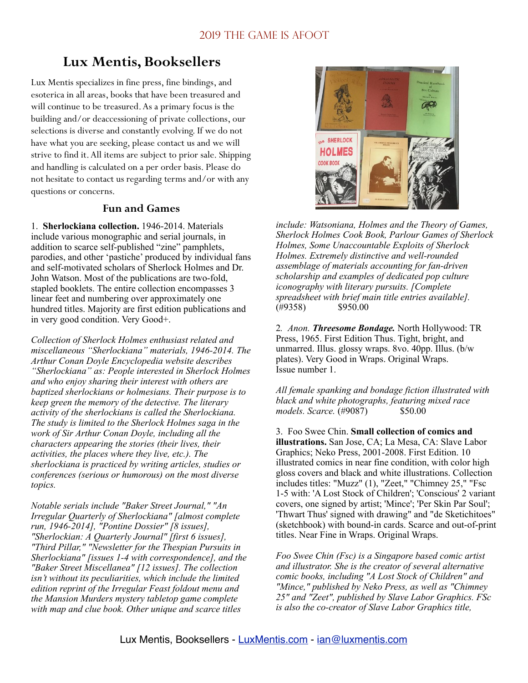# **Lux Mentis, Booksellers**

Lux Mentis specializes in fine press, fine bindings, and esoterica in all areas, books that have been treasured and will continue to be treasured. As a primary focus is the building and/or deaccessioning of private collections, our selections is diverse and constantly evolving. If we do not have what you are seeking, please contact us and we will strive to find it. All items are subject to prior sale. Shipping and handling is calculated on a per order basis. Please do not hesitate to contact us regarding terms and/or with any questions or concerns.

#### **Fun and Games**

1. **Sherlockiana collection.** 1946-2014. Materials include various monographic and serial journals, in addition to scarce self-published "zine" pamphlets, parodies, and other 'pastiche' produced by individual fans and self-motivated scholars of Sherlock Holmes and Dr. John Watson. Most of the publications are two-fold, stapled booklets. The entire collection encompasses 3 linear feet and numbering over approximately one hundred titles. Majority are first edition publications and in very good condition. Very Good+.

*Collection of Sherlock Holmes enthusiast related and miscellaneous "Sherlockiana" materials, 1946-2014. The Arthur Conan Doyle Encyclopedia website describes "Sherlockiana" as: People interested in Sherlock Holmes and who enjoy sharing their interest with others are baptized sherlockians or holmesians. Their purpose is to keep green the memory of the detective. The literary activity of the sherlockians is called the Sherlockiana. The study is limited to the Sherlock Holmes saga in the work of Sir Arthur Conan Doyle, including all the characters appearing the stories (their lives, their activities, the places where they live, etc.). The sherlockiana is practiced by writing articles, studies or conferences (serious or humorous) on the most diverse topics.* 

*Notable serials include "Baker Street Journal," "An Irregular Quarterly of Sherlockiana" [almost complete run, 1946-2014], "Pontine Dossier" [8 issues], "Sherlockian: A Quarterly Journal" [first 6 issues], "Third Pillar," "Newsletter for the Thespian Pursuits in Sherlockiana" [issues 1-4 with correspondence], and the "Baker Street Miscellanea" [12 issues]. The collection isn't without its peculiarities, which include the limited edition reprint of the Irregular Feast foldout menu and the Mansion Murders mystery tabletop game complete with map and clue book. Other unique and scarce titles* 



*include: Watsoniana, Holmes and the Theory of Games, Sherlock Holmes Cook Book, Parlour Games of Sherlock Holmes, Some Unaccountable Exploits of Sherlock Holmes. Extremely distinctive and well-rounded assemblage of materials accounting for fan-driven scholarship and examples of dedicated pop culture iconography with literary pursuits. [Complete spreadsheet with brief main title entries available].* (#9358) \$950.00

2*. Anon. Threesome Bondage.* North Hollywood: TR Press, 1965. First Edition Thus. Tight, bright, and unmarred. Illus. glossy wraps. 8vo. 40pp. Illus. (b/w plates). Very Good in Wraps. Original Wraps. Issue number 1.

*All female spanking and bondage fiction illustrated with black and white photographs, featuring mixed race models. Scarce.* (#9087) \$50.00

3. Foo Swee Chin. **Small collection of comics and illustrations.** San Jose, CA; La Mesa, CA: Slave Labor Graphics; Neko Press, 2001-2008. First Edition. 10 illustrated comics in near fine condition, with color high gloss covers and black and white illustrations. Collection includes titles: "Muzz" (1), "Zeet," "Chimney 25," "Fsc 1-5 with: 'A Lost Stock of Children'; 'Conscious' 2 variant covers, one signed by artist; 'Mince'; 'Per Skin Par Soul'; 'Thwart Thus' signed with drawing" and "de Sketichitoes" (sketchbook) with bound-in cards. Scarce and out-of-print titles. Near Fine in Wraps. Original Wraps.

*Foo Swee Chin (Fsc) is a Singapore based comic artist and illustrator. She is the creator of several alternative comic books, including "A Lost Stock of Children" and "Mince," published by Neko Press, as well as "Chimney 25" and "Zeet", published by Slave Labor Graphics. FSc is also the co-creator of Slave Labor Graphics title,*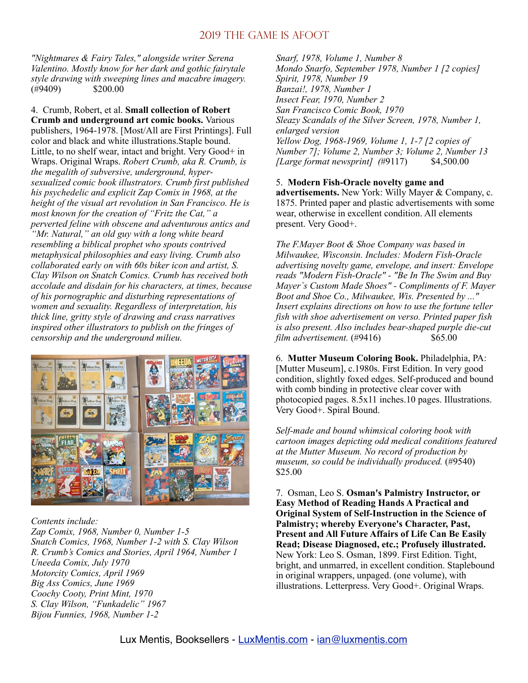*"Nightmares & Fairy Tales," alongside writer Serena Valentino. Mostly know for her dark and gothic fairytale style drawing with sweeping lines and macabre imagery.* (#9409) \$200.00

4. Crumb, Robert, et al. **Small collection of Robert Crumb and underground art comic books.** Various publishers, 1964-1978. [Most/All are First Printings]. Full color and black and white illustrations.Staple bound. Little, to no shelf wear, intact and bright. Very Good+ in Wraps. Original Wraps. *Robert Crumb, aka R. Crumb, is the megalith of subversive, underground, hypersexualized comic book illustrators. Crumb first published his psychedelic and explicit Zap Comix in 1968, at the height of the visual art revolution in San Francisco. He is most known for the creation of "Fritz the Cat," a perverted feline with obscene and adventurous antics and "Mr. Natural," an old guy with a long white beard resembling a biblical prophet who spouts contrived metaphysical philosophies and easy living. Crumb also collaborated early on with 60s biker icon and artist, S. Clay Wilson on Snatch Comics. Crumb has received both accolade and disdain for his characters, at times, because of his pornographic and disturbing representations of women and sexuality. Regardless of interpretation, his thick line, gritty style of drawing and crass narratives inspired other illustrators to publish on the fringes of censorship and the underground milieu.*



*Contents include:*

*Zap Comix, 1968, Number 0, Number 1-5 Snatch Comics, 1968, Number 1-2 with S. Clay Wilson R. Crumb's Comics and Stories, April 1964, Number 1 Uneeda Comix, July 1970 Motorcity Comics, April 1969 Big Ass Comics, June 1969 Coochy Cooty, Print Mint, 1970 S. Clay Wilson, "Funkadelic" 1967 Bijou Funnies, 1968, Number 1-2*

*Snarf, 1978, Volume 1, Number 8 Mondo Snarfo, September 1978, Number 1 [2 copies] Spirit, 1978, Number 19 Banzai!, 1978, Number 1 Insect Fear, 1970, Number 2 San Francisco Comic Book, 1970 Sleazy Scandals of the Silver Screen, 1978, Number 1, enlarged version Yellow Dog, 1968-1969, Volume 1, 1-7 [2 copies of Number 7]; Volume 2, Number 3; Volume 2, Number 13 [Large format newsprint] (*#9117) \$4,500.00

5. **Modern Fish-Oracle novelty game and advertisements.** New York: Willy Mayer & Company, c. 1875. Printed paper and plastic advertisements with some wear, otherwise in excellent condition. All elements present. Very Good+.

*The F.Mayer Boot & Shoe Company was based in Milwaukee, Wisconsin. Includes: Modern Fish-Oracle advertising novelty game, envelope, and insert: Envelope reads "Modern Fish-Oracle" - "Be In The Swim and Buy Mayer`s Custom Made Shoes" - Compliments of F. Mayer Boot and Shoe Co., Milwaukee, Wis. Presented by ..." Insert explains directions on how to use the fortune teller fish with shoe advertisement on verso. Printed paper fish is also present. Also includes bear-shaped purple die-cut film advertisement.* (#9416) \$65.00

6. **Mutter Museum Coloring Book.** Philadelphia, PA: [Mutter Museum], c.1980s. First Edition. In very good condition, slightly foxed edges. Self-produced and bound with comb binding in protective clear cover with photocopied pages. 8.5x11 inches.10 pages. Illustrations. Very Good+. Spiral Bound.

*Self-made and bound whimsical coloring book with cartoon images depicting odd medical conditions featured at the Mutter Museum. No record of production by museum, so could be individually produced.* (#9540) \$25.00

7. Osman, Leo S. **Osman's Palmistry Instructor, or Easy Method of Reading Hands A Practical and Original System of Self-Instruction in the Science of Palmistry; whereby Everyone's Character, Past, Present and All Future Affairs of Life Can Be Easily Read; Disease Diagnosed, etc.; Profusely illustrated.**  New York: Leo S. Osman, 1899. First Edition. Tight, bright, and unmarred, in excellent condition. Staplebound in original wrappers, unpaged. (one volume), with illustrations. Letterpress. Very Good+. Original Wraps.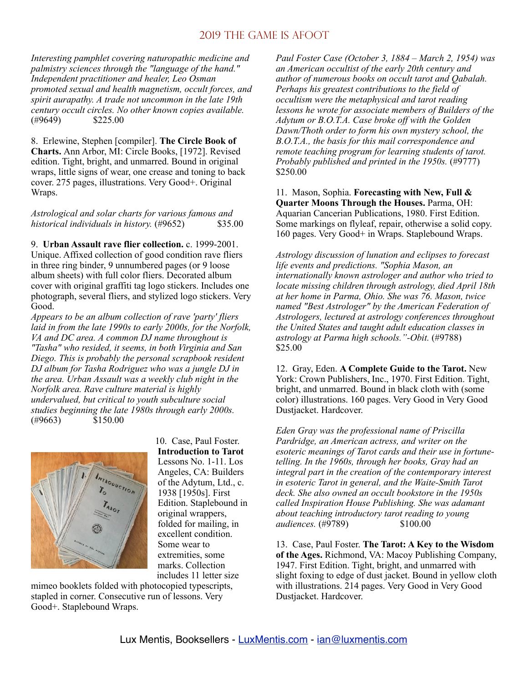*Interesting pamphlet covering naturopathic medicine and palmistry sciences through the "language of the hand." Independent practitioner and healer, Leo Osman promoted sexual and health magnetism, occult forces, and spirit aurapathy. A trade not uncommon in the late 19th century occult circles. No other known copies available.* (#9649) \$225.00

8. Erlewine, Stephen [compiler]. **The Circle Book of Charts.** Ann Arbor, MI: Circle Books, [1972]. Revised edition. Tight, bright, and unmarred. Bound in original wraps, little signs of wear, one crease and toning to back cover. 275 pages, illustrations. Very Good+. Original Wraps.

*Astrological and solar charts for various famous and historical individuals in history.* (#9652) \$35.00

9. **Urban Assault rave flier collection.** c. 1999-2001. Unique. Affixed collection of good condition rave fliers in three ring binder, 9 unnumbered pages (or 9 loose album sheets) with full color fliers. Decorated album cover with original graffiti tag logo stickers. Includes one photograph, several fliers, and stylized logo stickers. Very Good.

*Appears to be an album collection of rave 'party' fliers laid in from the late 1990s to early 2000s, for the Norfolk, VA and DC area. A common DJ name throughout is "Tasha" who resided, it seems, in both Virginia and San Diego. This is probably the personal scrapbook resident DJ album for Tasha Rodriguez who was a jungle DJ in the area. Urban Assault was a weekly club night in the Norfolk area. Rave culture material is highly undervalued, but critical to youth subculture social studies beginning the late 1980s through early 2000s.*  $(\#9663)$  \$150.00



10. Case, Paul Foster. **Introduction to Tarot**  Lessons No. 1-11. Los Angeles, CA: Builders of the Adytum, Ltd., c. 1938 [1950s]. First Edition. Staplebound in original wrappers, folded for mailing, in excellent condition. Some wear to extremities, some marks. Collection includes 11 letter size

mimeo booklets folded with photocopied typescripts, stapled in corner. Consecutive run of lessons. Very Good+. Staplebound Wraps.

*Paul Foster Case (October 3, 1884 – March 2, 1954) was an American occultist of the early 20th century and author of numerous books on occult tarot and Qabalah. Perhaps his greatest contributions to the field of occultism were the metaphysical and tarot reading lessons he wrote for associate members of Builders of the Adytum or B.O.T.A. Case broke off with the Golden Dawn/Thoth order to form his own mystery school, the B.O.T.A., the basis for this mail correspondence and remote teaching program for learning students of tarot. Probably published and printed in the 1950s.* (#9777) \$250.00

11. Mason, Sophia. **Forecasting with New, Full & Quarter Moons Through the Houses.** Parma, OH: Aquarian Cancerian Publications, 1980. First Edition. Some markings on flyleaf, repair, otherwise a solid copy. 160 pages. Very Good+ in Wraps. Staplebound Wraps.

*Astrology discussion of lunation and eclipses to forecast life events and predictions. "Sophia Mason, an internationally known astrologer and author who tried to locate missing children through astrology, died April 18th at her home in Parma, Ohio. She was 76. Mason, twice named "Best Astrologer" by the American Federation of Astrologers, lectured at astrology conferences throughout the United States and taught adult education classes in astrology at Parma high schools."-Obit.* (#9788) \$25.00

12. Gray, Eden. **A Complete Guide to the Tarot.** New York: Crown Publishers, Inc., 1970. First Edition. Tight, bright, and unmarred. Bound in black cloth with (some color) illustrations. 160 pages. Very Good in Very Good Dustjacket. Hardcover.

*Eden Gray was the professional name of Priscilla Pardridge, an American actress, and writer on the esoteric meanings of Tarot cards and their use in fortunetelling. In the 1960s, through her books, Gray had an integral part in the creation of the contemporary interest in esoteric Tarot in general, and the Waite-Smith Tarot deck. She also owned an occult bookstore in the 1950s called Inspiration House Publishing. She was adamant about teaching introductory tarot reading to young audiences.* (#9789) \$100.00

13. Case, Paul Foster. **The Tarot: A Key to the Wisdom of the Ages.** Richmond, VA: Macoy Publishing Company, 1947. First Edition. Tight, bright, and unmarred with slight foxing to edge of dust jacket. Bound in yellow cloth with illustrations. 214 pages. Very Good in Very Good Dustjacket. Hardcover.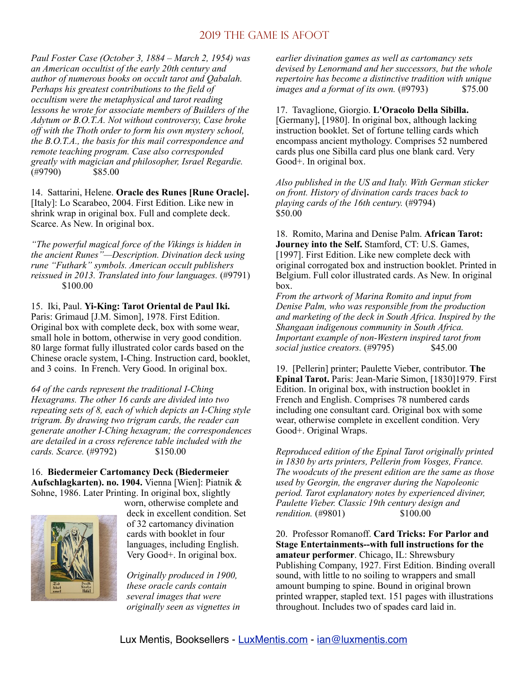*Paul Foster Case (October 3, 1884 – March 2, 1954) was an American occultist of the early 20th century and author of numerous books on occult tarot and Qabalah. Perhaps his greatest contributions to the field of occultism were the metaphysical and tarot reading lessons he wrote for associate members of Builders of the Adytum or B.O.T.A. Not without controversy, Case broke off with the Thoth order to form his own mystery school, the B.O.T.A., the basis for this mail correspondence and remote teaching program. Case also corresponded greatly with magician and philosopher, Israel Regardie.* (#9790) \$85.00

14. Sattarini, Helene. **Oracle des Runes [Rune Oracle].**  [Italy]: Lo Scarabeo, 2004. First Edition. Like new in shrink wrap in original box. Full and complete deck. Scarce. As New. In original box.

*"The powerful magical force of the Vikings is hidden in the ancient Runes"—Description. Divination deck using rune "Futhark" symbols. American occult publishers reissued in 2013. Translated into four languages.* (#9791) \$100.00

15. Iki, Paul. **Yi-King: Tarot Oriental de Paul Iki.**  Paris: Grimaud [J.M. Simon], 1978. First Edition. Original box with complete deck, box with some wear, small hole in bottom, otherwise in very good condition. 80 large format fully illustrated color cards based on the Chinese oracle system, I-Ching. Instruction card, booklet,

and 3 coins. In French. Very Good. In original box.

*64 of the cards represent the traditional I-Ching Hexagrams. The other 16 cards are divided into two repeating sets of 8, each of which depicts an I-Ching style trigram. By drawing two trigram cards, the reader can generate another I-Ching hexagram; the correspondences are detailed in a cross reference table included with the cards. Scarce.* (#9792) \$150.00

16. **Biedermeier Cartomancy Deck (Biedermeier Aufschlagkarten). no. 1904.** Vienna [Wien]: Piatnik & Sohne, 1986. Later Printing. In original box, slightly



worn, otherwise complete and deck in excellent condition. Set of 32 cartomancy divination cards with booklet in four languages, including English. Very Good+. In original box.

*Originally produced in 1900, these oracle cards contain several images that were originally seen as vignettes in*  *earlier divination games as well as cartomancy sets devised by Lenormand and her successors, but the whole repertoire has become a distinctive tradition with unique images and a format of its own.* (#9793) \$75.00

17. Tavaglione, Giorgio. **L'Oracolo Della Sibilla.**  [Germany], [1980]. In original box, although lacking instruction booklet. Set of fortune telling cards which encompass ancient mythology. Comprises 52 numbered cards plus one Sibilla card plus one blank card. Very Good+. In original box.

*Also published in the US and Italy. With German sticker on front. History of divination cards traces back to playing cards of the 16th century.* (#9794) \$50.00

18. Romito, Marina and Denise Palm. **African Tarot: Journey into the Self.** Stamford, CT: U.S. Games, [1997]. First Edition. Like new complete deck with original corrogated box and instruction booklet. Printed in Belgium. Full color illustrated cards. As New. In original box.

*From the artwork of Marina Romito and input from Denise Palm, who was responsible from the production and marketing of the deck in South Africa. Inspired by the Shangaan indigenous community in South Africa. Important example of non-Western inspired tarot from social justice creators.* (#9795) \$45.00

19. [Pellerin] printer; Paulette Vieber, contributor. **The Epinal Tarot.** Paris: Jean-Marie Simon, [1830]1979. First Edition. In original box, with instruction booklet in French and English. Comprises 78 numbered cards including one consultant card. Original box with some wear, otherwise complete in excellent condition. Very Good+. Original Wraps.

*Reproduced edition of the Epinal Tarot originally printed in 1830 by arts printers, Pellerin from Vosges, France. The woodcuts of the present edition are the same as those used by Georgin, the engraver during the Napoleonic period. Tarot explanatory notes by experienced diviner, Paulette Vieber. Classic 19th century design and rendition.* (#9801) \$100.00

20. Professor Romanoff. **Card Tricks: For Parlor and Stage Entertainments--with full instructions for the amateur performer**. Chicago, IL: Shrewsbury Publishing Company, 1927. First Edition. Binding overall sound, with little to no soiling to wrappers and small amount bumping to spine. Bound in original brown printed wrapper, stapled text. 151 pages with illustrations throughout. Includes two of spades card laid in.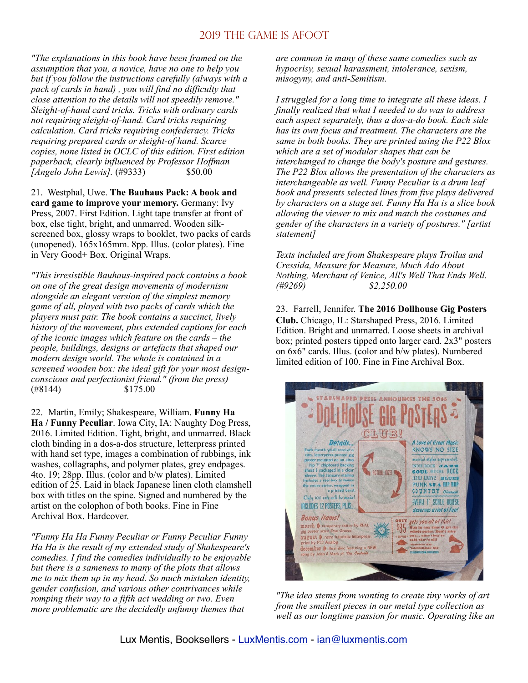*"The explanations in this book have been framed on the assumption that you, a novice, have no one to help you but if you follow the instructions carefully (always with a pack of cards in hand) , you will find no difficulty that close attention to the details will not speedily remove." Sleight-of-hand card tricks. Tricks with ordinary cards not requiring sleight-of-hand. Card tricks requiring calculation. Card tricks requiring confederacy. Tricks requiring prepared cards or sleight-of hand. Scarce copies, none listed in OCLC of this edition. First edition paperback, clearly influenced by Professor Hoffman [Angelo John Lewis].* (#9333) \$50.00

21. Westphal, Uwe. **The Bauhaus Pack: A book and card game to improve your memory.** Germany: Ivy Press, 2007. First Edition. Light tape transfer at front of box, else tight, bright, and unmarred. Wooden silkscreened box, glossy wraps to booklet, two packs of cards (unopened). 165x165mm. 8pp. Illus. (color plates). Fine in Very Good+ Box. Original Wraps.

*"This irresistible Bauhaus-inspired pack contains a book on one of the great design movements of modernism alongside an elegant version of the simplest memory game of all, played with two packs of cards which the players must pair. The book contains a succinct, lively history of the movement, plus extended captions for each of the iconic images which feature on the cards – the people, buildings, designs or artefacts that shaped our modern design world. The whole is contained in a screened wooden box: the ideal gift for your most designconscious and perfectionist friend." (from the press)*  (#8144) \$175.00

22. Martin, Emily; Shakespeare, William. **Funny Ha Ha / Funny Peculiar**. Iowa City, IA: Naughty Dog Press, 2016. Limited Edition. Tight, bright, and unmarred. Black cloth binding in a dos-a-dos structure, letterpress printed with hand set type, images a combination of rubbings, ink washes, collagraphs, and polymer plates, grey endpages. 4to. 19; 28pp. Illus. (color and b/w plates). Limited edition of 25. Laid in black Japanese linen cloth clamshell box with titles on the spine. Signed and numbered by the artist on the colophon of both books. Fine in Fine Archival Box. Hardcover.

*"Funny Ha Ha Funny Peculiar or Funny Peculiar Funny Ha Ha is the result of my extended study of Shakespeare's comedies. I find the comedies individually to be enjoyable but there is a sameness to many of the plots that allows me to mix them up in my head. So much mistaken identity, gender confusion, and various other contrivances while romping their way to a fifth act wedding or two. Even more problematic are the decidedly unfunny themes that* 

*are common in many of these same comedies such as hypocrisy, sexual harassment, intolerance, sexism, misogyny, and anti-Semitism.* 

*I struggled for a long time to integrate all these ideas. I finally realized that what I needed to do was to address each aspect separately, thus a dos-a-do book. Each side has its own focus and treatment. The characters are the same in both books. They are printed using the P22 Blox which are a set of modular shapes that can be interchanged to change the body's posture and gestures. The P22 Blox allows the presentation of the characters as interchangeable as well. Funny Peculiar is a drum leaf book and presents selected lines from five plays delivered by characters on a stage set. Funny Ha Ha is a slice book allowing the viewer to mix and match the costumes and gender of the characters in a variety of postures." [artist statement]*

*Texts included are from Shakespeare plays Troilus and Cressida, Measure for Measure, Much Ado About Nothing, Merchant of Venice, All's Well That Ends Well. (#9269) \$2,250.00* 

23.Farrell, Jennifer. **The 2016 Dollhouse Gig Posters Club.** Chicago, IL: Starshaped Press, 2016. Limited Edition. Bright and unmarred. Loose sheets in archival box; printed posters tipped onto larger card. 2x3" posters on 6x6" cards. Illus. (color and b/w plates). Numbered limited edition of 100. Fine in Fine Archival Box.



*"The idea stems from wanting to create tiny works of art from the smallest pieces in our metal type collection as well as our longtime passion for music. Operating like an*